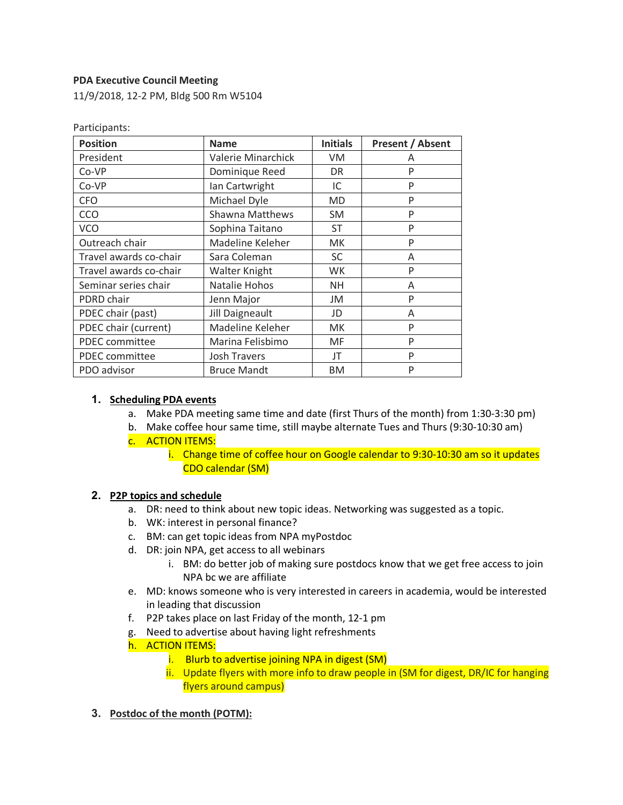#### **PDA Executive Council Meeting**

Participants:

11/9/2018, 12-2 PM, Bldg 500 Rm W5104

| <b>Position</b>        | <b>Name</b>         | <b>Initials</b> | <b>Present / Absent</b> |
|------------------------|---------------------|-----------------|-------------------------|
| President              | Valerie Minarchick  | VM.             | A                       |
| Co-VP                  | Dominique Reed      | DR.             | P                       |
| Co-VP                  | Ian Cartwright      | IC              | P                       |
| <b>CFO</b>             | Michael Dyle        | <b>MD</b>       | P                       |
| CCO                    | Shawna Matthews     | <b>SM</b>       | P                       |
| <b>VCO</b>             | Sophina Taitano     | ST              | P                       |
| Outreach chair         | Madeline Keleher    | <b>MK</b>       | P                       |
| Travel awards co-chair | Sara Coleman        | <b>SC</b>       | A                       |
| Travel awards co-chair | Walter Knight       | <b>WK</b>       | P                       |
| Seminar series chair   | Natalie Hohos       | <b>NH</b>       | A                       |
| PDRD chair             | Jenn Major          | JM              | P                       |
| PDEC chair (past)      | Jill Daigneault     | JD              | A                       |
| PDEC chair (current)   | Madeline Keleher    | <b>MK</b>       | P                       |
| PDEC committee         | Marina Felisbimo    | MF              | P                       |
| PDEC committee         | <b>Josh Travers</b> | JT              | P                       |
| PDO advisor            | <b>Bruce Mandt</b>  | <b>BM</b>       | P                       |

**1. Scheduling PDA events**

- a. Make PDA meeting same time and date (first Thurs of the month) from 1:30-3:30 pm)
- b. Make coffee hour same time, still maybe alternate Tues and Thurs (9:30-10:30 am) c. ACTION ITEMS:
	- i. Change time of coffee hour on Google calendar to 9:30-10:30 am so it updates CDO calendar (SM)

#### **2. P2P topics and schedule**

- a. DR: need to think about new topic ideas. Networking was suggested as a topic.
- b. WK: interest in personal finance?
- c. BM: can get topic ideas from NPA myPostdoc
- d. DR: join NPA, get access to all webinars
	- i. BM: do better job of making sure postdocs know that we get free access to join NPA bc we are affiliate
- e. MD: knows someone who is very interested in careers in academia, would be interested in leading that discussion
- f. P2P takes place on last Friday of the month, 12-1 pm
- g. Need to advertise about having light refreshments
- h. ACTION ITEMS:
	- i. Blurb to advertise joining NPA in digest (SM)
	- ii. Update flyers with more info to draw people in (SM for digest, DR/IC for hanging flyers around campus)
- **3. Postdoc of the month (POTM):**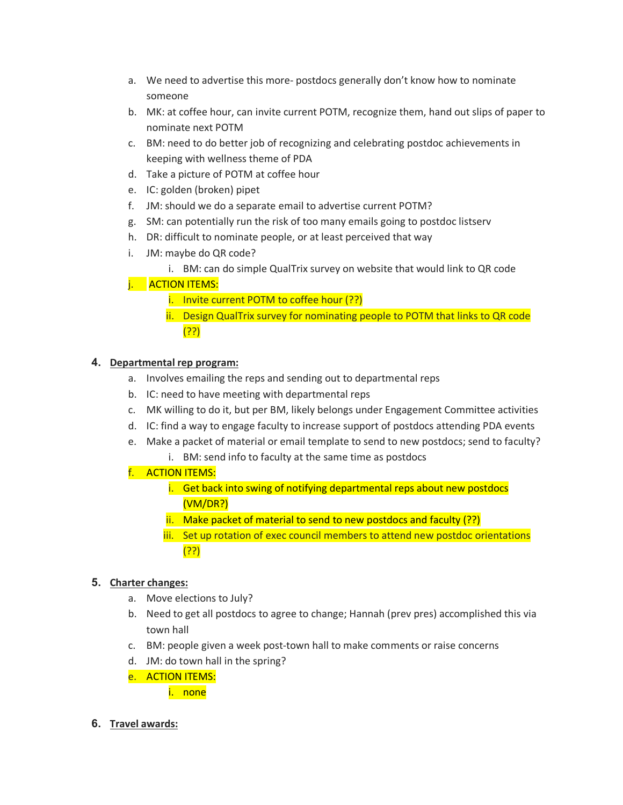- a. We need to advertise this more- postdocs generally don't know how to nominate someone
- b. MK: at coffee hour, can invite current POTM, recognize them, hand out slips of paper to nominate next POTM
- c. BM: need to do better job of recognizing and celebrating postdoc achievements in keeping with wellness theme of PDA
- d. Take a picture of POTM at coffee hour
- e. IC: golden (broken) pipet
- f. JM: should we do a separate email to advertise current POTM?
- g. SM: can potentially run the risk of too many emails going to postdoc listserv
- h. DR: difficult to nominate people, or at least perceived that way
- i. JM: maybe do QR code?
	- i. BM: can do simple QualTrix survey on website that would link to QR code

# **ACTION ITEMS:**

- i. Invite current POTM to coffee hour (??)
- ii. Design QualTrix survey for nominating people to POTM that links to QR code (??)

# **4. Departmental rep program:**

- a. Involves emailing the reps and sending out to departmental reps
- b. IC: need to have meeting with departmental reps
- c. MK willing to do it, but per BM, likely belongs under Engagement Committee activities
- d. IC: find a way to engage faculty to increase support of postdocs attending PDA events
- e. Make a packet of material or email template to send to new postdocs; send to faculty?
	- i. BM: send info to faculty at the same time as postdocs
- f. ACTION ITEMS:
	- i. Get back into swing of notifying departmental reps about new postdocs (VM/DR?)
	- ii. Make packet of material to send to new postdocs and faculty (??)
	- iii. Set up rotation of exec council members to attend new postdoc orientations (??)

# **5. Charter changes:**

- a. Move elections to July?
- b. Need to get all postdocs to agree to change; Hannah (prev pres) accomplished this via town hall
- c. BM: people given a week post-town hall to make comments or raise concerns
- d. JM: do town hall in the spring?
- e. ACTION ITEMS:

i. none

**6. Travel awards:**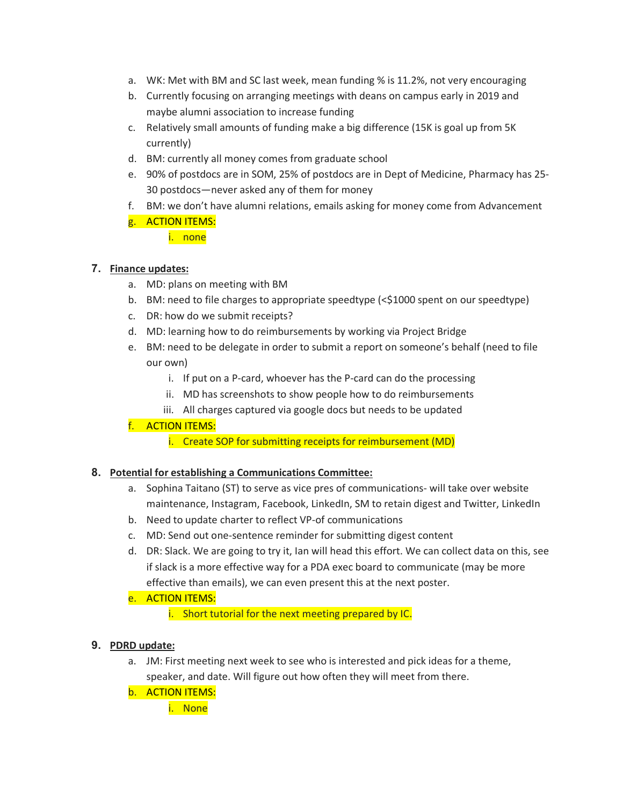- a. WK: Met with BM and SC last week, mean funding % is 11.2%, not very encouraging
- b. Currently focusing on arranging meetings with deans on campus early in 2019 and maybe alumni association to increase funding
- c. Relatively small amounts of funding make a big difference (15K is goal up from 5K currently)
- d. BM: currently all money comes from graduate school
- e. 90% of postdocs are in SOM, 25% of postdocs are in Dept of Medicine, Pharmacy has 25- 30 postdocs—never asked any of them for money
- f. BM: we don't have alumni relations, emails asking for money come from Advancement
- g. **ACTION ITEMS:**

i. none

## **7. Finance updates:**

- a. MD: plans on meeting with BM
- b. BM: need to file charges to appropriate speedtype (<\$1000 spent on our speedtype)
- c. DR: how do we submit receipts?
- d. MD: learning how to do reimbursements by working via Project Bridge
- e. BM: need to be delegate in order to submit a report on someone's behalf (need to file our own)
	- i. If put on a P-card, whoever has the P-card can do the processing
	- ii. MD has screenshots to show people how to do reimbursements
	- iii. All charges captured via google docs but needs to be updated

## f. ACTION ITEMS:

i. Create SOP for submitting receipts for reimbursement (MD)

## **8. Potential for establishing a Communications Committee:**

- a. Sophina Taitano (ST) to serve as vice pres of communications- will take over website maintenance, Instagram, Facebook, LinkedIn, SM to retain digest and Twitter, LinkedIn
- b. Need to update charter to reflect VP-of communications
- c. MD: Send out one-sentence reminder for submitting digest content
- d. DR: Slack. We are going to try it, Ian will head this effort. We can collect data on this, see if slack is a more effective way for a PDA exec board to communicate (may be more effective than emails), we can even present this at the next poster.
- e. ACTION ITEMS:
	- i. Short tutorial for the next meeting prepared by IC.

# **9. PDRD update:**

- a. JM: First meeting next week to see who is interested and pick ideas for a theme, speaker, and date. Will figure out how often they will meet from there.
- b. ACTION ITEMS:

i. None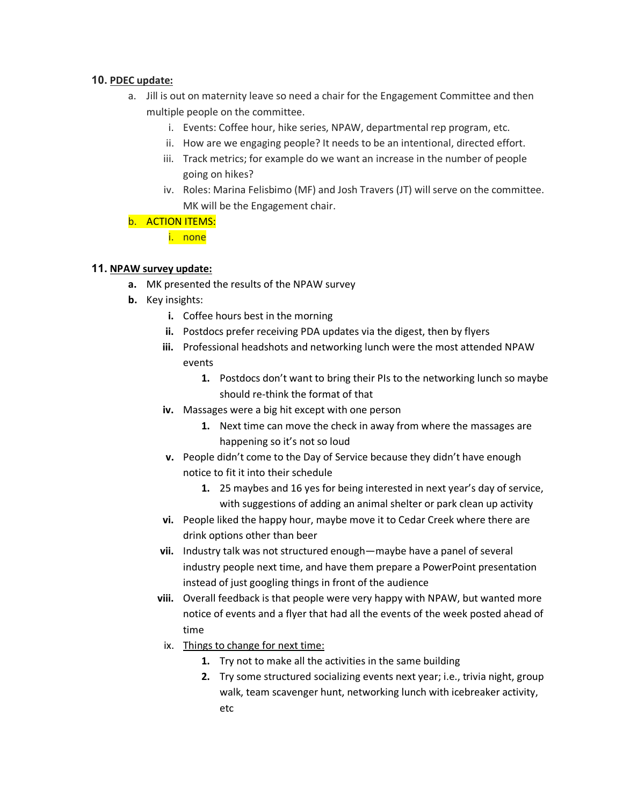#### **10. PDEC update:**

- a. Jill is out on maternity leave so need a chair for the Engagement Committee and then multiple people on the committee.
	- i. Events: Coffee hour, hike series, NPAW, departmental rep program, etc.
	- ii. How are we engaging people? It needs to be an intentional, directed effort.
	- iii. Track metrics; for example do we want an increase in the number of people going on hikes?
	- iv. Roles: Marina Felisbimo (MF) and Josh Travers (JT) will serve on the committee. MK will be the Engagement chair.

## b. ACTION ITEMS:

i. none

## **11. NPAW survey update:**

- **a.** MK presented the results of the NPAW survey
- **b.** Key insights:
	- **i.** Coffee hours best in the morning
	- **ii.** Postdocs prefer receiving PDA updates via the digest, then by flyers
	- **iii.** Professional headshots and networking lunch were the most attended NPAW events
		- **1.** Postdocs don't want to bring their PIs to the networking lunch so maybe should re-think the format of that
	- **iv.** Massages were a big hit except with one person
		- **1.** Next time can move the check in away from where the massages are happening so it's not so loud
	- **v.** People didn't come to the Day of Service because they didn't have enough notice to fit it into their schedule
		- **1.** 25 maybes and 16 yes for being interested in next year's day of service, with suggestions of adding an animal shelter or park clean up activity
	- **vi.** People liked the happy hour, maybe move it to Cedar Creek where there are drink options other than beer
	- **vii.** Industry talk was not structured enough—maybe have a panel of several industry people next time, and have them prepare a PowerPoint presentation instead of just googling things in front of the audience
	- **viii.** Overall feedback is that people were very happy with NPAW, but wanted more notice of events and a flyer that had all the events of the week posted ahead of time
	- ix. Things to change for next time:
		- **1.** Try not to make all the activities in the same building
		- **2.** Try some structured socializing events next year; i.e., trivia night, group walk, team scavenger hunt, networking lunch with icebreaker activity, etc